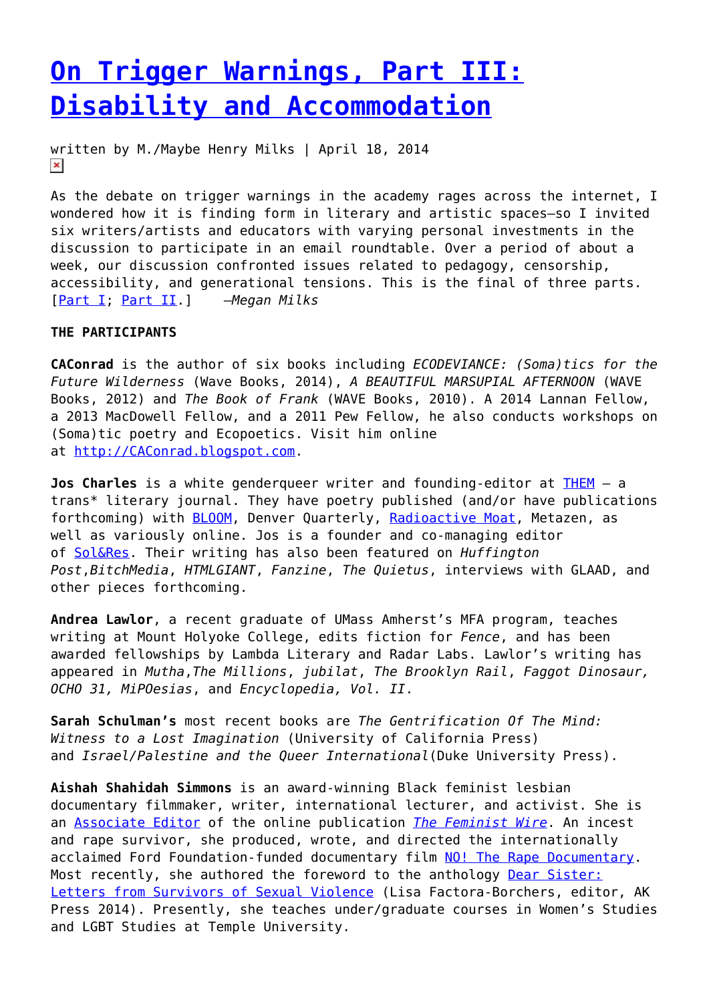## **[On Trigger Warnings, Part III:](https://entropymag.org/on-trigger-warnings-part-iii-disability-and-accommodation/) [Disability and Accommodation](https://entropymag.org/on-trigger-warnings-part-iii-disability-and-accommodation/)**

written by M./Maybe Henry Milks | April 18, 2014  $\pmb{\times}$ 

As the debate on trigger warnings in the academy rages across the internet, I wondered how it is finding form in literary and artistic spaces—so I invited six writers/artists and educators with varying personal investments in the discussion to participate in an email roundtable. Over a period of about a week, our discussion confronted issues related to pedagogy, censorship, accessibility, and generational tensions. This is the final of three parts. [\[Part I;](https://entropymag.org/on-trigger-warnings-part-i-in-the-creative-writing-classroom/) [Part II](https://entropymag.org/on-trigger-warnings-part-ii-generational-tensions).] *—Megan Milks*

## **THE PARTICIPANTS**

**CAConrad** is the author of six books including *ECODEVIANCE: (Soma)tics for the Future Wilderness* (Wave Books, 2014), *A BEAUTIFUL MARSUPIAL AFTERNOON* (WAVE Books, 2012) and *The Book of Frank* (WAVE Books, 2010). A 2014 Lannan Fellow, a 2013 MacDowell Fellow, and a 2011 Pew Fellow, he also conducts workshops on (Soma)tic poetry and Ecopoetics. Visit him online at [http://CAConrad.blogspot.com.](http://caconrad.blogspot.com/)

**Jos Charles** is a white genderqueer writer and founding-editor at [THEM](http://themlit.com/) – a trans\* literary journal. They have poetry published (and/or have publications forthcoming) with **BLOOM**, Denver Quarterly, [Radioactive Moat](http://www.radioactivemoat.com/issue-7.html), Metazen, as well as variously online. Jos is a founder and co-managing editor of [Sol&Res.](http://sol-res.org/) Their writing has also been featured on *Huffington Post*,*BitchMedia*, *HTMLGIANT*, *Fanzine*, *The Quietus*, interviews with GLAAD, and other pieces forthcoming.

**Andrea Lawlor**, a recent graduate of UMass Amherst's MFA program, teaches writing at Mount Holyoke College, edits fiction for *Fence*, and has been awarded fellowships by Lambda Literary and Radar Labs. Lawlor's writing has appeared in *Mutha*,*The Millions*, *jubilat*, *The Brooklyn Rail*, *Faggot Dinosaur, OCHO 31, MiPOesias*, and *Encyclopedia, Vol. II*.

**Sarah Schulman's** most recent books are *The Gentrification Of The Mind: Witness to a Lost Imagination* (University of California Press) and *Israel/Palestine and the Queer International*(Duke University Press).

**Aishah Shahidah Simmons** is an award-winning Black feminist lesbian documentary filmmaker, writer, international lecturer, and activist. She is an [Associate Editor](http://thefeministwire.com/author/assimmons2/) of the online publication *[The Feminist Wire](http://thefeministwire.com/)*. An incest and rape survivor, she produced, wrote, and directed the internationally acclaimed Ford Foundation-funded documentary film [NO! The Rape Documentary.](http://notherapedocumentary.org/) Most recently, she authored the foreword to the anthology [Dear Sister:](http://www.akpress.org/dear-sister.html) [Letters from Survivors of Sexual Violence](http://www.akpress.org/dear-sister.html) (Lisa Factora-Borchers, editor, AK Press 2014). Presently, she teaches under/graduate courses in Women's Studies and LGBT Studies at Temple University.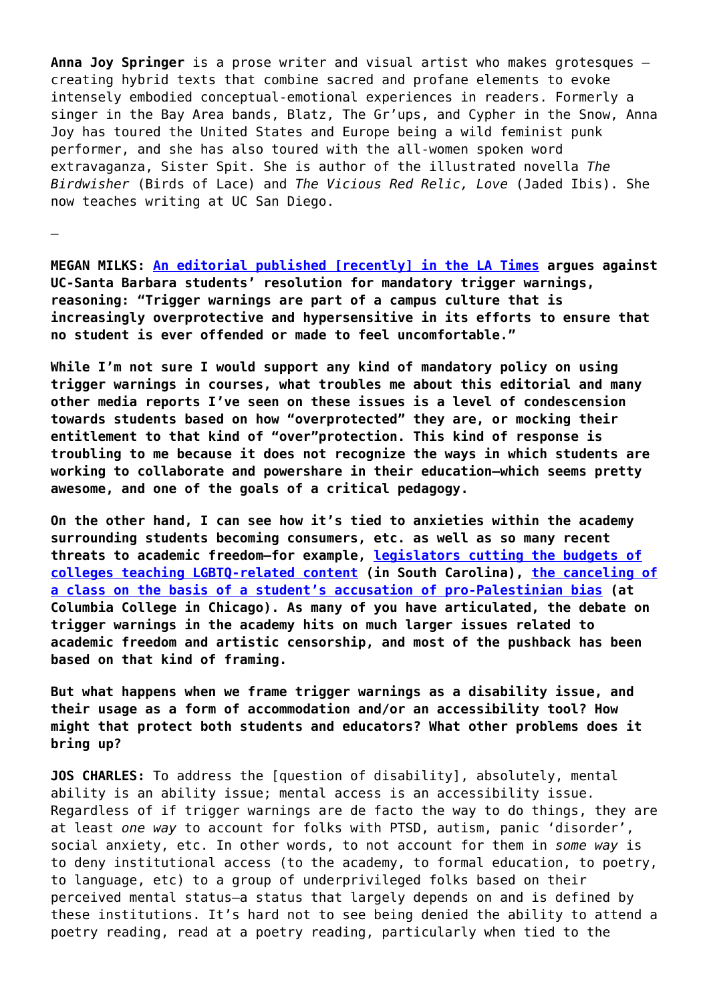**Anna Joy Springer** is a prose writer and visual artist who makes grotesques – creating hybrid texts that combine sacred and profane elements to evoke intensely embodied conceptual-emotional experiences in readers. Formerly a singer in the Bay Area bands, Blatz, The Gr'ups, and Cypher in the Snow, Anna Joy has toured the United States and Europe being a wild feminist punk performer, and she has also toured with the all-women spoken word extravaganza, Sister Spit. She is author of the illustrated novella *The Birdwisher* (Birds of Lace) and *The Vicious Red Relic, Love* (Jaded Ibis). She now teaches writing at UC San Diego.

**MEGAN MILKS: [An editorial published \[recently\] in the LA Times](http://www.latimes.com/opinion/editorials/la-ed-trigger-warnings-20140331,0,6700908.story#axzz2xUYBLKK2) argues against UC-Santa Barbara students' resolution for mandatory trigger warnings, reasoning: "Trigger warnings are part of a campus culture that is increasingly overprotective and hypersensitive in its efforts to ensure that no student is ever offended or made to feel uncomfortable."**

–

**While I'm not sure I would support any kind of mandatory policy on using trigger warnings in courses, what troubles me about this editorial and many other media reports I've seen on these issues is a level of condescension towards students based on how "overprotected" they are, or mocking their entitlement to that kind of "over"protection. This kind of response is troubling to me because it does not recognize the ways in which students are working to collaborate and powershare in their education—which seems pretty awesome, and one of the goals of a critical pedagogy.**

**On the other hand, I can see how it's tied to anxieties within the academy surrounding students becoming consumers, etc. as well as so many recent threats to academic freedom—for example, [legislators cutting the budgets of](http://www.huffingtonpost.com/2014/02/20/south-carolina-colleges-lgbt-books_n_4825489.html) [colleges teaching LGBTQ-related content](http://www.huffingtonpost.com/2014/02/20/south-carolina-colleges-lgbt-books_n_4825489.html) (in South Carolina), [the canceling of](http://thearabdailynews.com/2014/03/25/columbia-college-cancels-professors-class-showing-oscar-nominated-film-5-broken-cameras/) [a class on the basis of a student's accusation of pro-Palestinian bias](http://thearabdailynews.com/2014/03/25/columbia-college-cancels-professors-class-showing-oscar-nominated-film-5-broken-cameras/) (at Columbia College in Chicago). As many of you have articulated, the debate on trigger warnings in the academy hits on much larger issues related to academic freedom and artistic censorship, and most of the pushback has been based on that kind of framing.** 

**But what happens when we frame trigger warnings as a disability issue, and their usage as a form of accommodation and/or an accessibility tool? How might that protect both students and educators? What other problems does it bring up?**

**JOS CHARLES:** To address the [question of disability], absolutely, mental ability is an ability issue; mental access is an accessibility issue. Regardless of if trigger warnings are de facto the way to do things, they are at least *one way* to account for folks with PTSD, autism, panic 'disorder', social anxiety, etc. In other words, to not account for them in *some way* is to deny institutional access (to the academy, to formal education, to poetry, to language, etc) to a group of underprivileged folks based on their perceived mental status–a status that largely depends on and is defined by these institutions. It's hard not to see being denied the ability to attend a poetry reading, read at a poetry reading, particularly when tied to the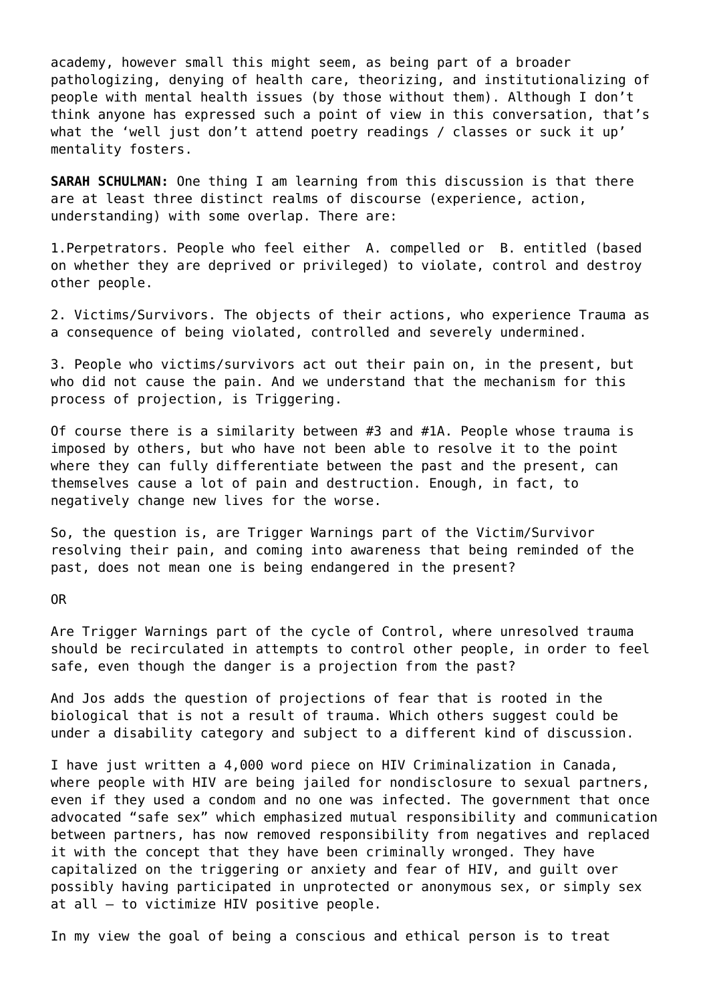academy, however small this might seem, as being part of a broader pathologizing, denying of health care, theorizing, and institutionalizing of people with mental health issues (by those without them). Although I don't think anyone has expressed such a point of view in this conversation, that's what the 'well just don't attend poetry readings / classes or suck it up' mentality fosters.

**SARAH SCHULMAN:** One thing I am learning from this discussion is that there are at least three distinct realms of discourse (experience, action, understanding) with some overlap. There are:

1.Perpetrators. People who feel either A. compelled or B. entitled (based on whether they are deprived or privileged) to violate, control and destroy other people.

2. Victims/Survivors. The objects of their actions, who experience Trauma as a consequence of being violated, controlled and severely undermined.

3. People who victims/survivors act out their pain on, in the present, but who did not cause the pain. And we understand that the mechanism for this process of projection, is Triggering.

Of course there is a similarity between #3 and #1A. People whose trauma is imposed by others, but who have not been able to resolve it to the point where they can fully differentiate between the past and the present, can themselves cause a lot of pain and destruction. Enough, in fact, to negatively change new lives for the worse.

So, the question is, are Trigger Warnings part of the Victim/Survivor resolving their pain, and coming into awareness that being reminded of the past, does not mean one is being endangered in the present?

OR

Are Trigger Warnings part of the cycle of Control, where unresolved trauma should be recirculated in attempts to control other people, in order to feel safe, even though the danger is a projection from the past?

And Jos adds the question of projections of fear that is rooted in the biological that is not a result of trauma. Which others suggest could be under a disability category and subject to a different kind of discussion.

I have just written a 4,000 word piece on HIV Criminalization in Canada, where people with HIV are being jailed for nondisclosure to sexual partners, even if they used a condom and no one was infected. The government that once advocated "safe sex" which emphasized mutual responsibility and communication between partners, has now removed responsibility from negatives and replaced it with the concept that they have been criminally wronged. They have capitalized on the triggering or anxiety and fear of HIV, and guilt over possibly having participated in unprotected or anonymous sex, or simply sex at all – to victimize HIV positive people.

In my view the goal of being a conscious and ethical person is to treat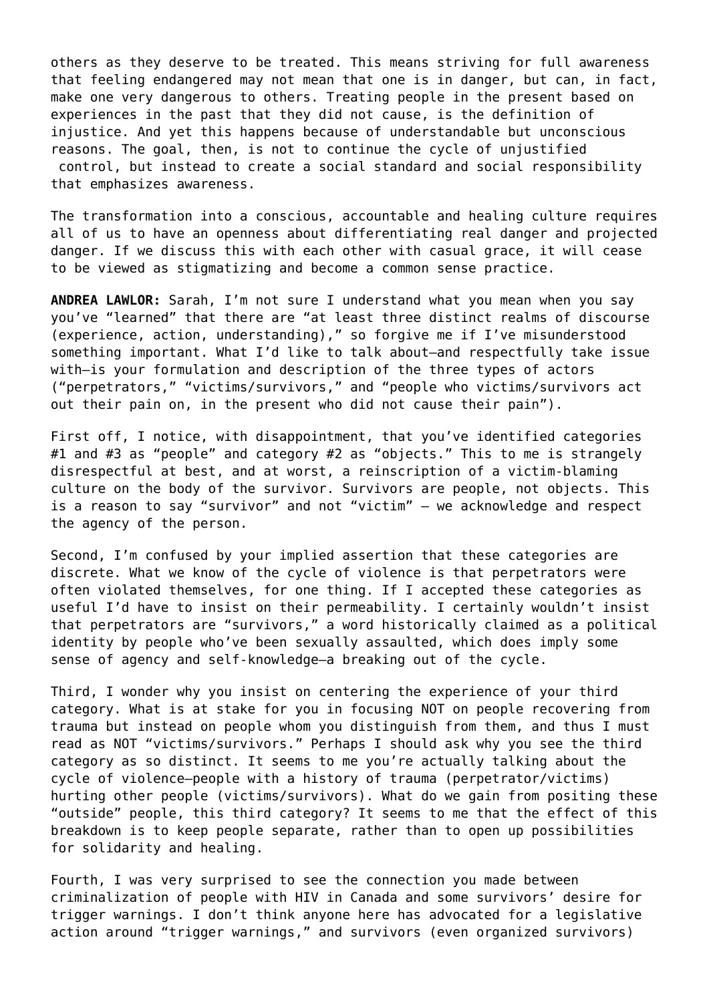others as they deserve to be treated. This means striving for full awareness that feeling endangered may not mean that one is in danger, but can, in fact, make one very dangerous to others. Treating people in the present based on experiences in the past that they did not cause, is the definition of injustice. And yet this happens because of understandable but unconscious reasons. The goal, then, is not to continue the cycle of unjustified control, but instead to create a social standard and social responsibility that emphasizes awareness.

The transformation into a conscious, accountable and healing culture requires all of us to have an openness about differentiating real danger and projected danger. If we discuss this with each other with casual grace, it will cease to be viewed as stigmatizing and become a common sense practice.

**ANDREA LAWLOR:** Sarah, I'm not sure I understand what you mean when you say you've "learned" that there are "at least three distinct realms of discourse (experience, action, understanding)," so forgive me if I've misunderstood something important. What I'd like to talk about—and respectfully take issue with—is your formulation and description of the three types of actors ("perpetrators," "victims/survivors," and "people who victims/survivors act out their pain on, in the present who did not cause their pain").

First off, I notice, with disappointment, that you've identified categories #1 and #3 as "people" and category #2 as "objects." This to me is strangely disrespectful at best, and at worst, a reinscription of a victim-blaming culture on the body of the survivor. Survivors are people, not objects. This is a reason to say "survivor" and not "victim" — we acknowledge and respect the agency of the person.

Second, I'm confused by your implied assertion that these categories are discrete. What we know of the cycle of violence is that perpetrators were often violated themselves, for one thing. If I accepted these categories as useful I'd have to insist on their permeability. I certainly wouldn't insist that perpetrators are "survivors," a word historically claimed as a political identity by people who've been sexually assaulted, which does imply some sense of agency and self-knowledge—a breaking out of the cycle.

Third, I wonder why you insist on centering the experience of your third category. What is at stake for you in focusing NOT on people recovering from trauma but instead on people whom you distinguish from them, and thus I must read as NOT "victims/survivors." Perhaps I should ask why you see the third category as so distinct. It seems to me you're actually talking about the cycle of violence—people with a history of trauma (perpetrator/victims) hurting other people (victims/survivors). What do we gain from positing these "outside" people, this third category? It seems to me that the effect of this breakdown is to keep people separate, rather than to open up possibilities for solidarity and healing.

Fourth, I was very surprised to see the connection you made between criminalization of people with HIV in Canada and some survivors' desire for trigger warnings. I don't think anyone here has advocated for a legislative action around "trigger warnings," and survivors (even organized survivors)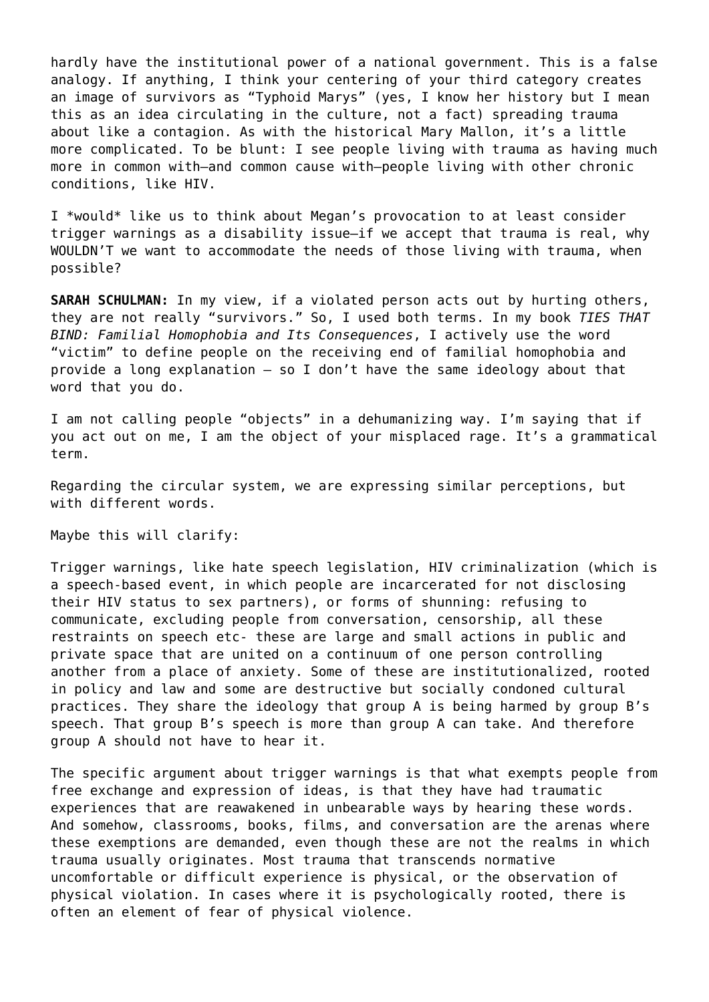hardly have the institutional power of a national government. This is a false analogy. If anything, I think your centering of your third category creates an image of survivors as "Typhoid Marys" (yes, I know her history but I mean this as an idea circulating in the culture, not a fact) spreading trauma about like a contagion. As with the historical Mary Mallon, it's a little more complicated. To be blunt: I see people living with trauma as having much more in common with—and common cause with—people living with other chronic conditions, like HIV.

I \*would\* like us to think about Megan's provocation to at least consider trigger warnings as a disability issue—if we accept that trauma is real, why WOULDN'T we want to accommodate the needs of those living with trauma, when possible?

**SARAH SCHULMAN:** In my view, if a violated person acts out by hurting others, they are not really "survivors." So, I used both terms. In my book *TIES THAT BIND: Familial Homophobia and Its Consequences*, I actively use the word "victim" to define people on the receiving end of familial homophobia and provide a long explanation – so I don't have the same ideology about that word that you do.

I am not calling people "objects" in a dehumanizing way. I'm saying that if you act out on me, I am the object of your misplaced rage. It's a grammatical term.

Regarding the circular system, we are expressing similar perceptions, but with different words.

Maybe this will clarify:

Trigger warnings, like hate speech legislation, HIV criminalization (which is a speech-based event, in which people are incarcerated for not disclosing their HIV status to sex partners), or forms of shunning: refusing to communicate, excluding people from conversation, censorship, all these restraints on speech etc- these are large and small actions in public and private space that are united on a continuum of one person controlling another from a place of anxiety. Some of these are institutionalized, rooted in policy and law and some are destructive but socially condoned cultural practices. They share the ideology that group A is being harmed by group B's speech. That group B's speech is more than group A can take. And therefore group A should not have to hear it.

The specific argument about trigger warnings is that what exempts people from free exchange and expression of ideas, is that they have had traumatic experiences that are reawakened in unbearable ways by hearing these words. And somehow, classrooms, books, films, and conversation are the arenas where these exemptions are demanded, even though these are not the realms in which trauma usually originates. Most trauma that transcends normative uncomfortable or difficult experience is physical, or the observation of physical violation. In cases where it is psychologically rooted, there is often an element of fear of physical violence.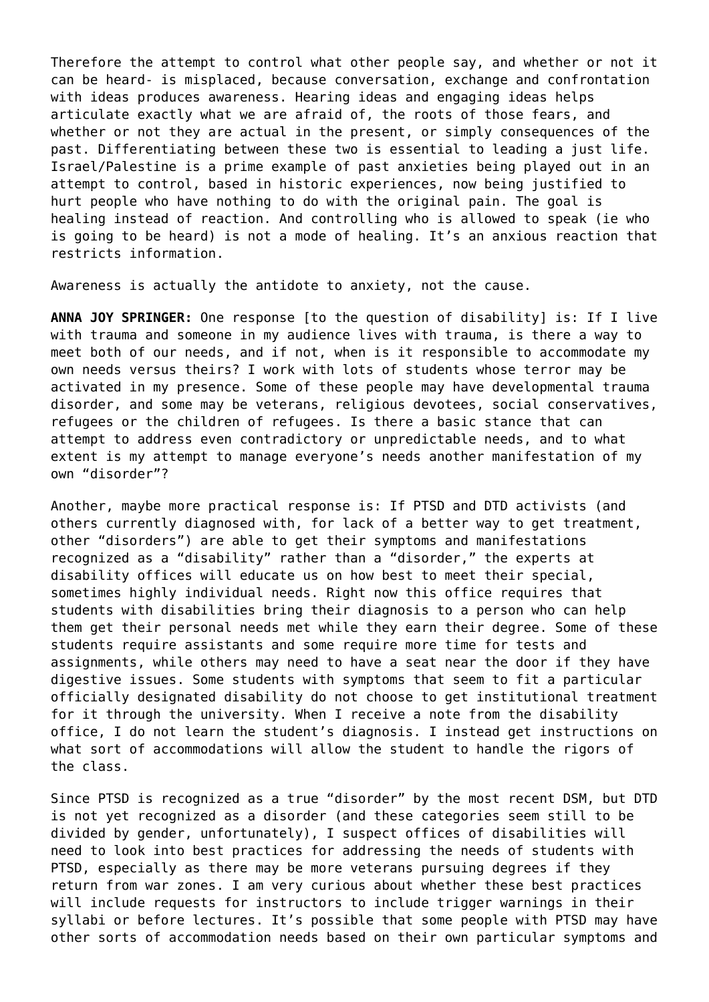Therefore the attempt to control what other people say, and whether or not it can be heard- is misplaced, because conversation, exchange and confrontation with ideas produces awareness. Hearing ideas and engaging ideas helps articulate exactly what we are afraid of, the roots of those fears, and whether or not they are actual in the present, or simply consequences of the past. Differentiating between these two is essential to leading a just life. Israel/Palestine is a prime example of past anxieties being played out in an attempt to control, based in historic experiences, now being justified to hurt people who have nothing to do with the original pain. The goal is healing instead of reaction. And controlling who is allowed to speak (ie who is going to be heard) is not a mode of healing. It's an anxious reaction that restricts information.

Awareness is actually the antidote to anxiety, not the cause.

**ANNA JOY SPRINGER:** One response [to the question of disability] is: If I live with trauma and someone in my audience lives with trauma, is there a way to meet both of our needs, and if not, when is it responsible to accommodate my own needs versus theirs? I work with lots of students whose terror may be activated in my presence. Some of these people may have developmental trauma disorder, and some may be veterans, religious devotees, social conservatives, refugees or the children of refugees. Is there a basic stance that can attempt to address even contradictory or unpredictable needs, and to what extent is my attempt to manage everyone's needs another manifestation of my own "disorder"?

Another, maybe more practical response is: If PTSD and DTD activists (and others currently diagnosed with, for lack of a better way to get treatment, other "disorders") are able to get their symptoms and manifestations recognized as a "disability" rather than a "disorder," the experts at disability offices will educate us on how best to meet their special, sometimes highly individual needs. Right now this office requires that students with disabilities bring their diagnosis to a person who can help them get their personal needs met while they earn their degree. Some of these students require assistants and some require more time for tests and assignments, while others may need to have a seat near the door if they have digestive issues. Some students with symptoms that seem to fit a particular officially designated disability do not choose to get institutional treatment for it through the university. When I receive a note from the disability office, I do not learn the student's diagnosis. I instead get instructions on what sort of accommodations will allow the student to handle the rigors of the class.

Since PTSD is recognized as a true "disorder" by the most recent DSM, but DTD is not yet recognized as a disorder (and these categories seem still to be divided by gender, unfortunately), I suspect offices of disabilities will need to look into best practices for addressing the needs of students with PTSD, especially as there may be more veterans pursuing degrees if they return from war zones. I am very curious about whether these best practices will include requests for instructors to include trigger warnings in their syllabi or before lectures. It's possible that some people with PTSD may have other sorts of accommodation needs based on their own particular symptoms and